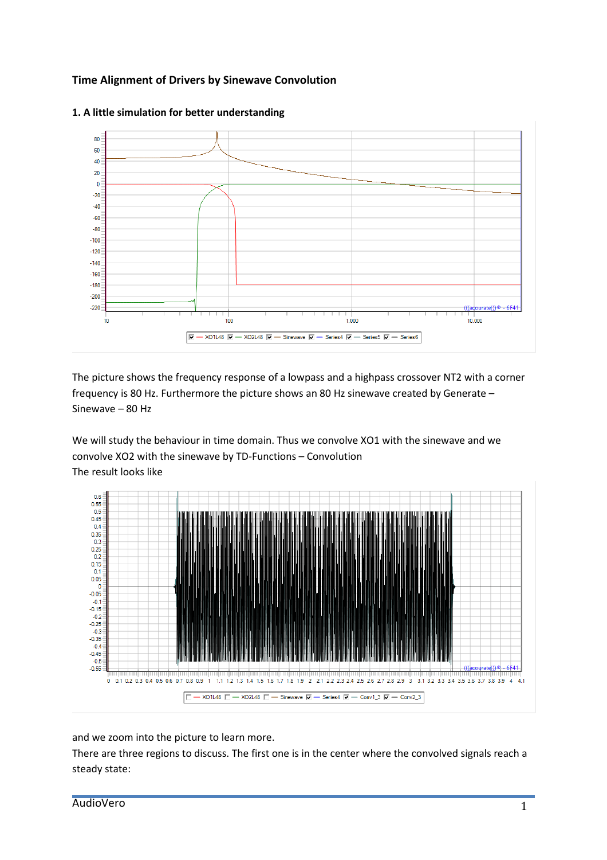## **Time Alignment of Drivers by Sinewave Convolution**



## **1. A little simulation for better understanding**

The picture shows the frequency response of a lowpass and a highpass crossover NT2 with a corner frequency is 80 Hz. Furthermore the picture shows an 80 Hz sinewave created by Generate – Sinewave – 80 Hz

We will study the behaviour in time domain. Thus we convolve XO1 with the sinewave and we convolve XO2 with the sinewave by TD-Functions – Convolution The result looks like



and we zoom into the picture to learn more.

There are three regions to discuss. The first one is in the center where the convolved signals reach a steady state: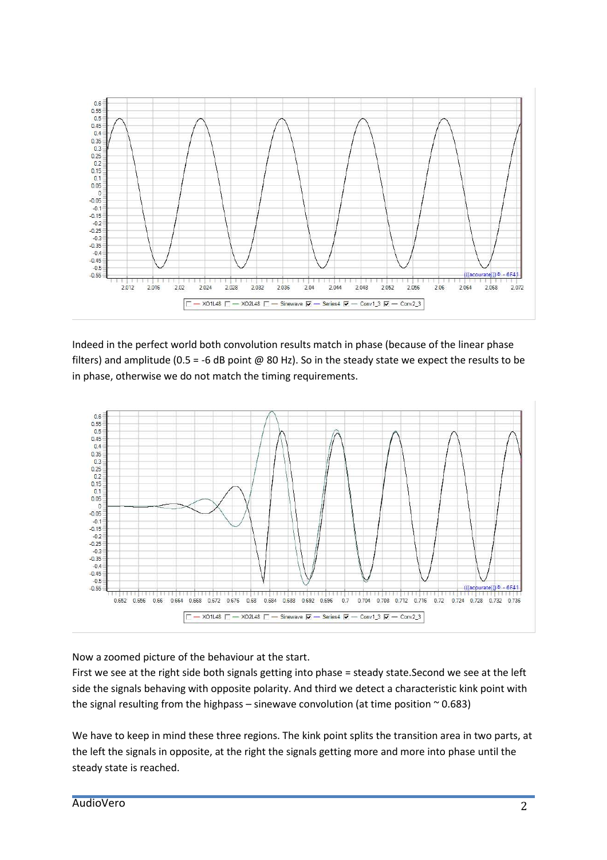

Indeed in the perfect world both convolution results match in phase (because of the linear phase filters) and amplitude (0.5 = -6 dB point @ 80 Hz). So in the steady state we expect the results to be in phase, otherwise we do not match the timing requirements.



Now a zoomed picture of the behaviour at the start.

First we see at the right side both signals getting into phase = steady state.Second we see at the left side the signals behaving with opposite polarity. And third we detect a characteristic kink point with the signal resulting from the highpass – sinewave convolution (at time position  $\sim$  0.683)

We have to keep in mind these three regions. The kink point splits the transition area in two parts, at the left the signals in opposite, at the right the signals getting more and more into phase until the steady state is reached.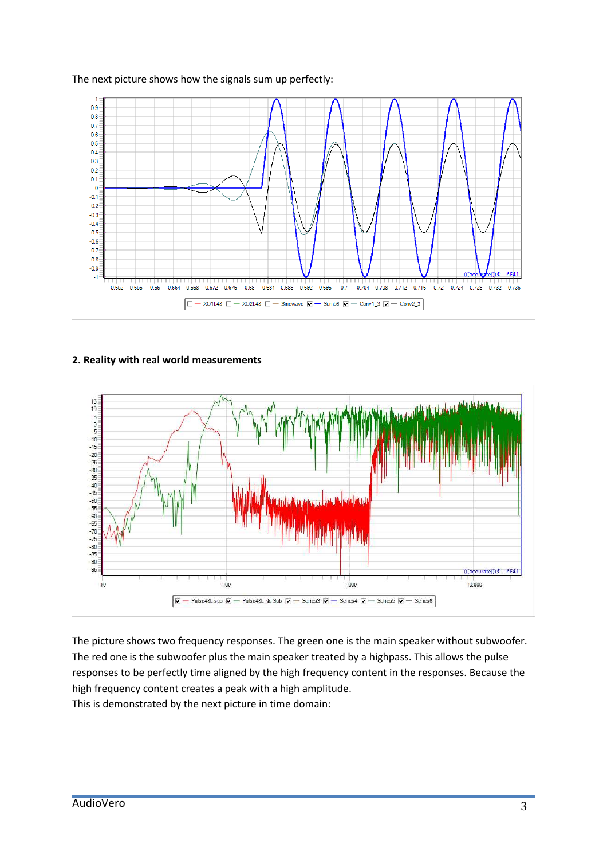

## The next picture shows how the signals sum up perfectly:

## **2. Reality with real world measurements**



The picture shows two frequency responses. The green one is the main speaker without subwoofer. The red one is the subwoofer plus the main speaker treated by a highpass. This allows the pulse responses to be perfectly time aligned by the high frequency content in the responses. Because the high frequency content creates a peak with a high amplitude. This is demonstrated by the next picture in time domain: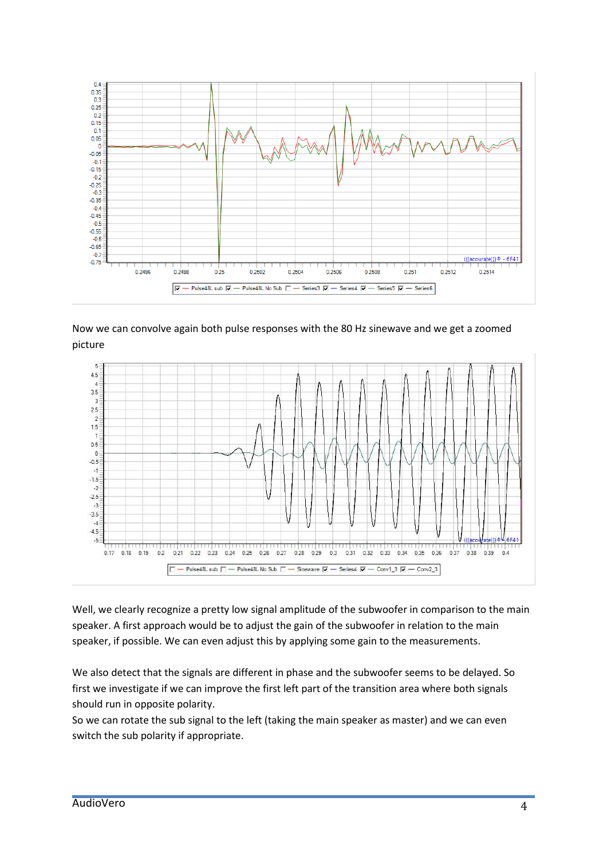

Now we can convolve again both pulse responses with the 80 Hz sinewave and we get a zoomed picture



Well, we clearly recognize a pretty low signal amplitude of the subwoofer in comparison to the main speaker. A first approach would be to adjust the gain of the subwoofer in relation to the main speaker, if possible. We can even adjust this by applying some gain to the measurements.

We also detect that the signals are different in phase and the subwoofer seems to be delayed. So first we investigate if we can improve the first left part of the transition area where both signals should run in opposite polarity.

So we can rotate the sub signal to the left (taking the main speaker as master) and we can even switch the sub polarity if appropriate.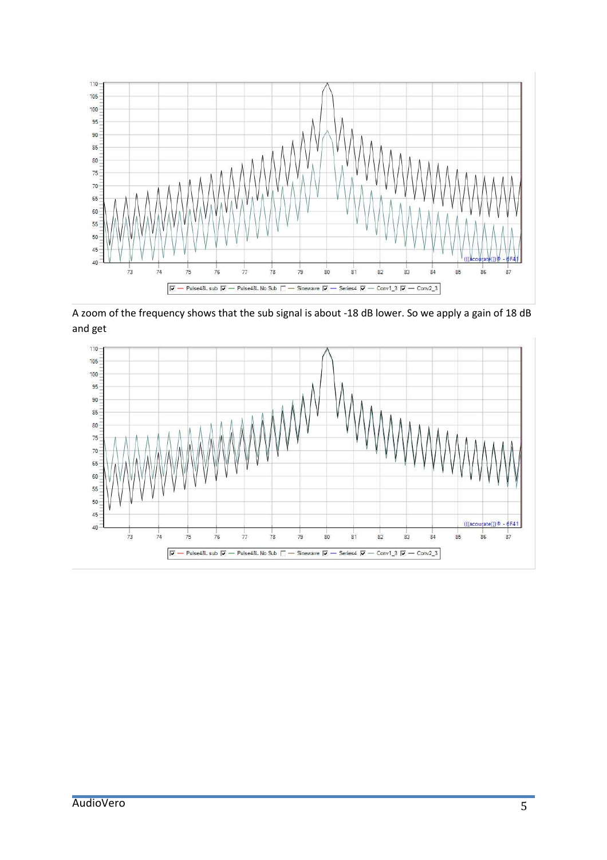

A zoom of the frequency shows that the sub signal is about -18 dB lower. So we apply a gain of 18 dB and get

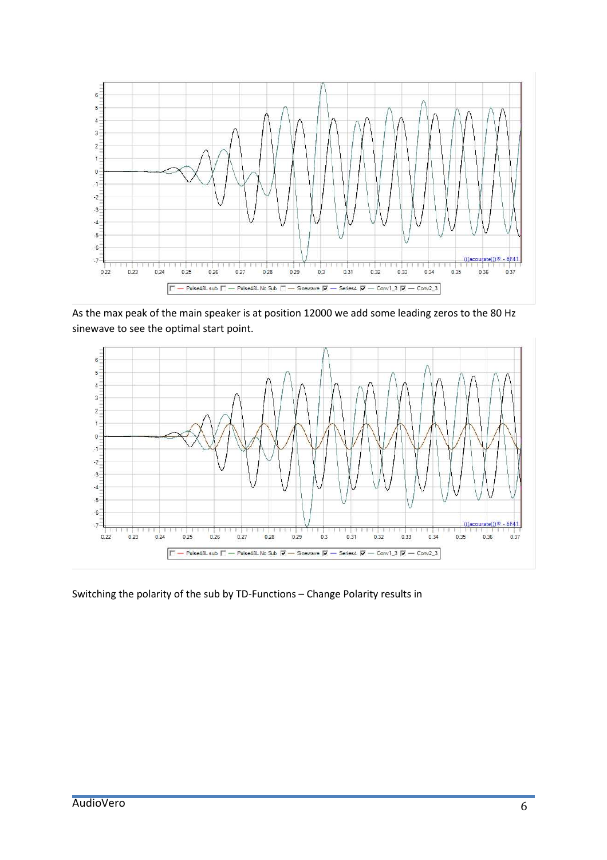

As the max peak of the main speaker is at position 12000 we add some leading zeros to the 80 Hz sinewave to see the optimal start point.



Switching the polarity of the sub by TD-Functions – Change Polarity results in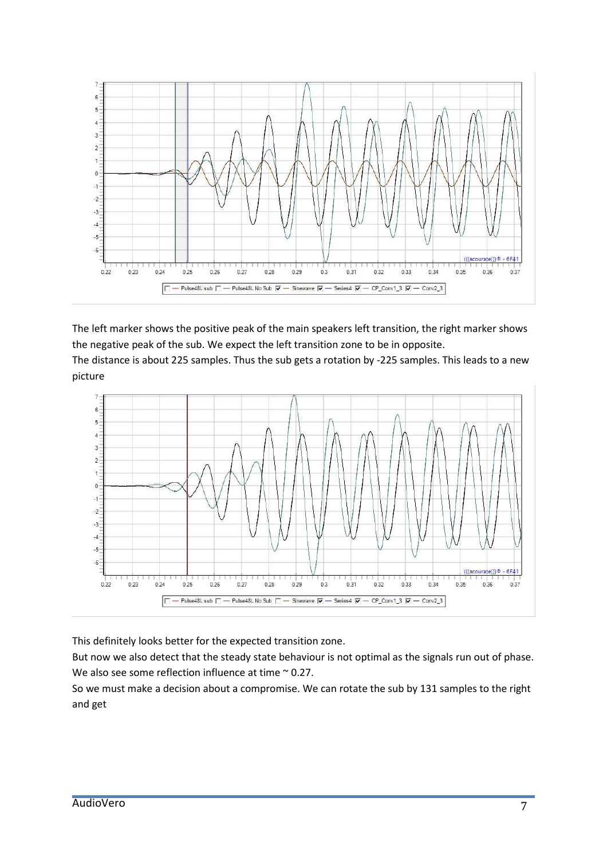

The left marker shows the positive peak of the main speakers left transition, the right marker shows the negative peak of the sub. We expect the left transition zone to be in opposite. The distance is about 225 samples. Thus the sub gets a rotation by -225 samples. This leads to a new

picture



This definitely looks better for the expected transition zone.

But now we also detect that the steady state behaviour is not optimal as the signals run out of phase. We also see some reflection influence at time ~ 0.27.

So we must make a decision about a compromise. We can rotate the sub by 131 samples to the right and get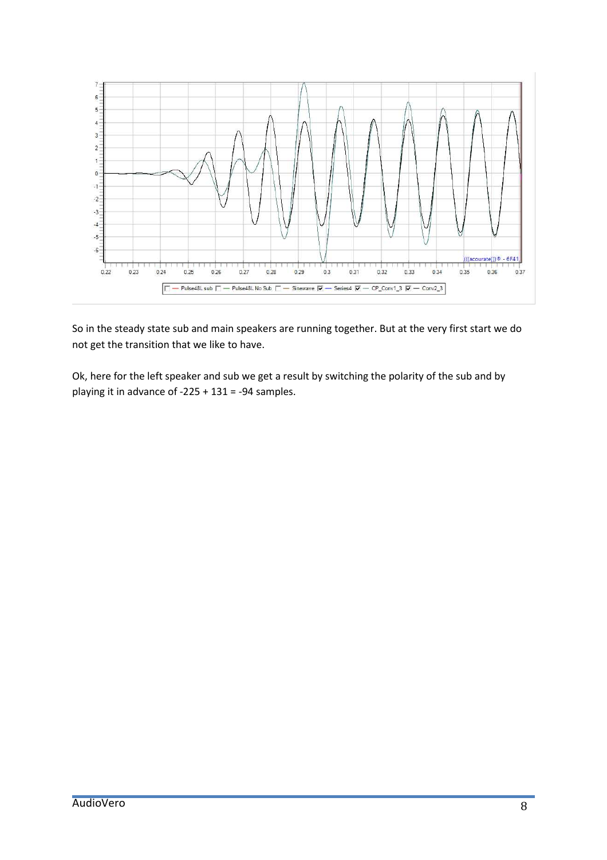

So in the steady state sub and main speakers are running together. But at the very first start we do not get the transition that we like to have.

Ok, here for the left speaker and sub we get a result by switching the polarity of the sub and by playing it in advance of  $-225 + 131 = -94$  samples.